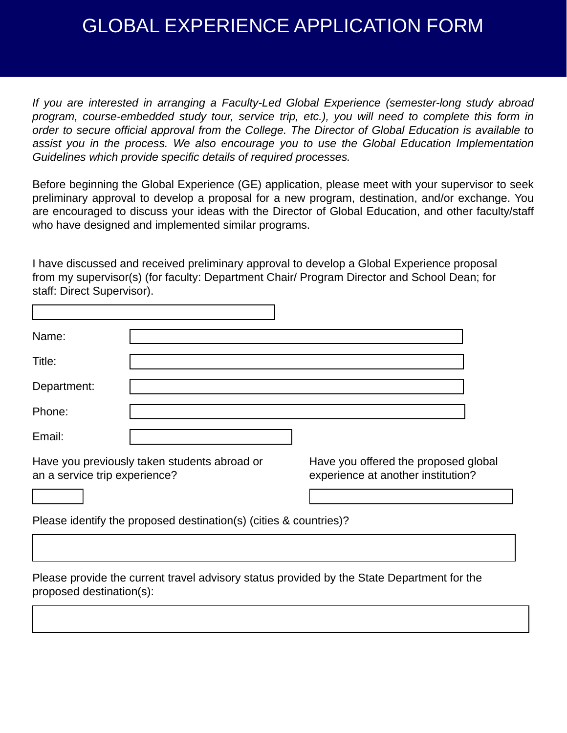## GLOBAL EXPERIENCE APPLICATION FORM

*If you are interested in arranging a Faculty-Led Global Experience (semester-long study abroad program, course-embedded study tour, service trip, etc.), you will need to complete this form in order to secure official approval from the College. The Director of Global Education is available to assist you in the process. We also encourage you to use the Global Education Implementation Guidelines which provide specific details of required processes.* 

Before beginning the Global Experience (GE) application, please meet with your supervisor to seek preliminary approval to develop a proposal for a new program, destination, and/or exchange. You are encouraged to discuss your ideas with the Director of Global Education, and other faculty/staff who have designed and implemented similar programs.

I have discussed and received preliminary approval to develop a Global Experience proposal from my supervisor(s) (for faculty: Department Chair/ Program Director and School Dean; for staff: Direct Supervisor).

| Name:                                                                         |                                                                            |
|-------------------------------------------------------------------------------|----------------------------------------------------------------------------|
| Title:                                                                        |                                                                            |
| Department:                                                                   |                                                                            |
| Phone:                                                                        |                                                                            |
| Email:                                                                        |                                                                            |
| Have you previously taken students abroad or<br>an a service trip experience? | Have you offered the proposed global<br>experience at another institution? |
|                                                                               |                                                                            |
| Please identify the proposed destination(s) (cities & countries)?             |                                                                            |
|                                                                               |                                                                            |

Please provide the current travel advisory status provided by the State Department for the proposed destination(s):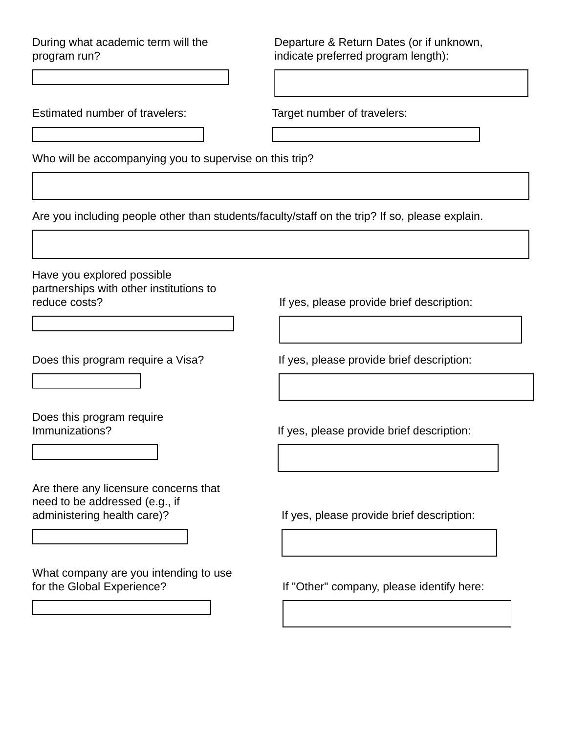During what academic term will the program run?

Departure & Return Dates (or if unknown, indicate preferred program length):

Estimated number of travelers: Target number of travelers:

Who will be accompanying you to supervise on this trip?

Are you including people other than students/faculty/staff on the trip? If so, please explain.

 $\vert \textbf{F} \vert$ 

 $\vert \textbf{I} \vert$ 

Have you explored possible partnerships with other institutions to reduce costs? The cost of the costs? If yes, please provide brief description:

 $\left| \bullet \right|$ 

 $\left| \bullet \right|$ 

 $\left| \mathbf{v} \right|$ 

 $\blacktriangledown$ 

Does this program require

Are there any licensure concerns that need to be addressed (e.g., if

What company are you intending to use for the Global Experience? If "Other" company, please identify here:

Does this program require a Visa? If yes, please provide brief description:

Immunizations? If yes, please provide brief description:

administering health care)? If yes, please provide brief description: